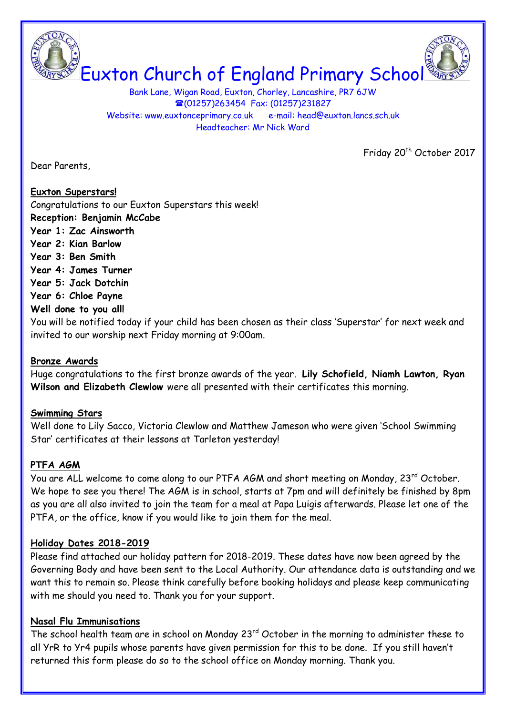

Bank Lane, Wigan Road, Euxton, Chorley, Lancashire, PR7 6JW (01257)263454 Fax: (01257)231827 Website: www.euxtonceprimary.co.uk e-mail: [head@euxton.lancs.sch.uk](mailto:head@euxton.lancs.sch.uk) Headteacher: Mr Nick Ward

Friday 20<sup>th</sup> October 2017

Dear Parents,

# **Euxton Superstars!**

Congratulations to our Euxton Superstars this week! **Reception: Benjamin McCabe**

- **Year 1: Zac Ainsworth**
- **Year 2: Kian Barlow**
- **Year 3: Ben Smith**
- **Year 4: James Turner**
- **Year 5: Jack Dotchin**
- **Year 6: Chloe Payne**

# **Well done to you all!**

You will be notified today if your child has been chosen as their class 'Superstar' for next week and invited to our worship next Friday morning at 9:00am.

### **Bronze Awards**

Huge congratulations to the first bronze awards of the year. **Lily Schofield, Niamh Lawton, Ryan Wilson and Elizabeth Clewlow** were all presented with their certificates this morning.

### **Swimming Stars**

Well done to Lily Sacco, Victoria Clewlow and Matthew Jameson who were given 'School Swimming Star' certificates at their lessons at Tarleton yesterday!

# **PTFA AGM**

You are ALL welcome to come along to our PTFA AGM and short meeting on Monday, 23<sup>rd</sup> October. We hope to see you there! The AGM is in school, starts at 7pm and will definitely be finished by 8pm as you are all also invited to join the team for a meal at Papa Luigis afterwards. Please let one of the PTFA, or the office, know if you would like to join them for the meal.

### **Holiday Dates 2018-2019**

Please find attached our holiday pattern for 2018-2019. These dates have now been agreed by the Governing Body and have been sent to the Local Authority. Our attendance data is outstanding and we want this to remain so. Please think carefully before booking holidays and please keep communicating with me should you need to. Thank you for your support.

### **Nasal Flu Immunisations**

The school health team are in school on Monday 23<sup>rd</sup> October in the morning to administer these to all YrR to Yr4 pupils whose parents have given permission for this to be done. If you still haven't returned this form please do so to the school office on Monday morning. Thank you.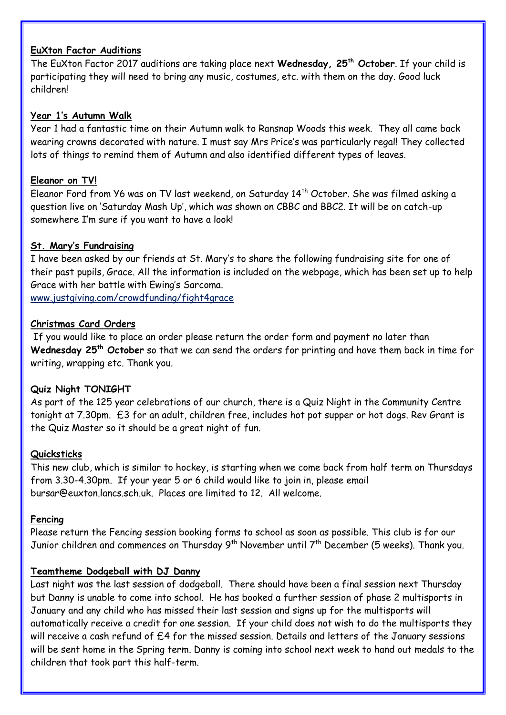### **EuXton Factor Auditions**

The EuXton Factor 2017 auditions are taking place next **Wednesday, 25th October**. If your child is participating they will need to bring any music, costumes, etc. with them on the day. Good luck children!

### **Year 1's Autumn Walk**

Year 1 had a fantastic time on their Autumn walk to Ransnap Woods this week. They all came back wearing crowns decorated with nature. I must say Mrs Price's was particularly regal! They collected lots of things to remind them of Autumn and also identified different types of leaves.

#### **Eleanor on TV!**

Eleanor Ford from Y6 was on TV last weekend, on Saturday 14<sup>th</sup> October. She was filmed asking a question live on 'Saturday Mash Up', which was shown on CBBC and BBC2. It will be on catch-up somewhere I'm sure if you want to have a look!

#### **St. Mary's Fundraising**

I have been asked by our friends at St. Mary's to share the following fundraising site for one of their past pupils, Grace. All the information is included on the webpage, which has been set up to help Grace with her battle with Ewing's Sarcoma.

<www.justgiving.com/crowdfunding/fight4grace>

#### **Christmas Card Orders**

If you would like to place an order please return the order form and payment no later than **Wednesday 25th October** so that we can send the orders for printing and have them back in time for writing, wrapping etc. Thank you.

### **Quiz Night TONIGHT**

As part of the 125 year celebrations of our church, there is a Quiz Night in the Community Centre tonight at 7.30pm. £3 for an adult, children free, includes hot pot supper or hot dogs. Rev Grant is the Quiz Master so it should be a great night of fun.

#### **Quicksticks**

This new club, which is similar to hockey, is starting when we come back from half term on Thursdays from 3.30-4.30pm. If your year 5 or 6 child would like to join in, please email [bursar@euxton.lancs.sch.uk.](mailto:bursar@euxton.lancs.sch.uk) Places are limited to 12. All welcome.

#### **Fencing**

Please return the Fencing session booking forms to school as soon as possible. This club is for our Junior children and commences on Thursday 9<sup>th</sup> November until 7<sup>th</sup> December (5 weeks). Thank you.

### **Teamtheme Dodgeball with DJ Danny**

Last night was the last session of dodgeball. There should have been a final session next Thursday but Danny is unable to come into school. He has booked a further session of phase 2 multisports in January and any child who has missed their last session and signs up for the multisports will automatically receive a credit for one session. If your child does not wish to do the multisports they will receive a cash refund of £4 for the missed session. Details and letters of the January sessions will be sent home in the Spring term. Danny is coming into school next week to hand out medals to the children that took part this half-term.